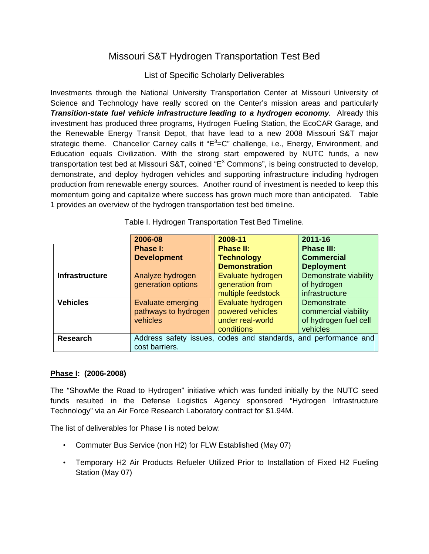## Missouri S&T Hydrogen Transportation Test Bed

## List of Specific Scholarly Deliverables

Investments through the National University Transportation Center at Missouri University of Science and Technology have really scored on the Center's mission areas and particularly *Transition-state fuel vehicle infrastructure leading to a hydrogen economy.* Already this investment has produced three programs, Hydrogen Fueling Station, the EcoCAR Garage, and the Renewable Energy Transit Depot, that have lead to a new 2008 Missouri S&T major strategic theme. Chancellor Carney calls it "E<sup>3</sup>=C" challenge, i.e., Energy, Environment, and Education equals Civilization. With the strong start empowered by NUTC funds, a new transportation test bed at Missouri S&T, coined "E<sup>3</sup> Commons", is being constructed to develop, demonstrate, and deploy hydrogen vehicles and supporting infrastructure including hydrogen production from renewable energy sources. Another round of investment is needed to keep this momentum going and capitalize where success has grown much more than anticipated. Table 1 provides an overview of the hydrogen transportation test bed timeline.

|                       | 2006-08                                                         | 2008-11              | 2011-16               |
|-----------------------|-----------------------------------------------------------------|----------------------|-----------------------|
|                       | Phase I:                                                        | <b>Phase II:</b>     | <b>Phase III:</b>     |
|                       | <b>Development</b>                                              | <b>Technology</b>    | <b>Commercial</b>     |
|                       |                                                                 | <b>Demonstration</b> | <b>Deployment</b>     |
| <b>Infrastructure</b> | Analyze hydrogen                                                | Evaluate hydrogen    | Demonstrate viability |
|                       | generation options                                              | generation from      | of hydrogen           |
|                       |                                                                 | multiple feedstock   | infrastructure        |
| <b>Vehicles</b>       | Evaluate emerging                                               | Evaluate hydrogen    | Demonstrate           |
|                       | pathways to hydrogen                                            | powered vehicles     | commercial viability  |
|                       | vehicles                                                        | under real-world     | of hydrogen fuel cell |
|                       |                                                                 | conditions           | vehicles              |
| <b>Research</b>       | Address safety issues, codes and standards, and performance and |                      |                       |
|                       | cost barriers.                                                  |                      |                       |

Table I. Hydrogen Transportation Test Bed Timeline.

## **Phase I: (2006-2008)**

The "ShowMe the Road to Hydrogen" initiative which was funded initially by the NUTC seed funds resulted in the Defense Logistics Agency sponsored "Hydrogen Infrastructure Technology" via an Air Force Research Laboratory contract for \$1.94M.

The list of deliverables for Phase I is noted below:

- Commuter Bus Service (non H2) for FLW Established (May 07)
- Temporary H2 Air Products Refueler Utilized Prior to Installation of Fixed H2 Fueling Station (May 07)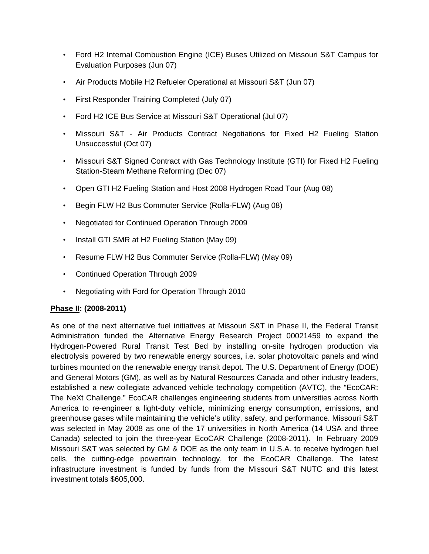- Ford H2 Internal Combustion Engine (ICE) Buses Utilized on Missouri S&T Campus for Evaluation Purposes (Jun 07)
- Air Products Mobile H2 Refueler Operational at Missouri S&T (Jun 07)
- First Responder Training Completed (July 07)
- Ford H2 ICE Bus Service at Missouri S&T Operational (Jul 07)
- Missouri S&T Air Products Contract Negotiations for Fixed H2 Fueling Station Unsuccessful (Oct 07)
- Missouri S&T Signed Contract with Gas Technology Institute (GTI) for Fixed H2 Fueling Station-Steam Methane Reforming (Dec 07)
- Open GTI H2 Fueling Station and Host 2008 Hydrogen Road Tour (Aug 08)
- Begin FLW H2 Bus Commuter Service (Rolla-FLW) (Aug 08)
- Negotiated for Continued Operation Through 2009
- Install GTI SMR at H2 Fueling Station (May 09)
- Resume FLW H2 Bus Commuter Service (Rolla-FLW) (May 09)
- Continued Operation Through 2009
- Negotiating with Ford for Operation Through 2010

## **Phase II: (2008-2011)**

As one of the next alternative fuel initiatives at Missouri S&T in Phase II, the Federal Transit Administration funded the Alternative Energy Research Project 00021459 to expand the Hydrogen-Powered Rural Transit Test Bed by installing on-site hydrogen production via electrolysis powered by two renewable energy sources, i.e. solar photovoltaic panels and wind turbines mounted on the renewable energy transit depot. The U.S. Department of Energy (DOE) and General Motors (GM), as well as by Natural Resources Canada and other industry leaders, established a new collegiate advanced vehicle technology competition (AVTC), the "EcoCAR: The NeXt Challenge." EcoCAR challenges engineering students from universities across North America to re-engineer a light-duty vehicle, minimizing energy consumption, emissions, and greenhouse gases while maintaining the vehicle's utility, safety, and performance. Missouri S&T was selected in May 2008 as one of the 17 universities in North America (14 USA and three Canada) selected to join the three-year EcoCAR Challenge (2008-2011). In February 2009 Missouri S&T was selected by GM & DOE as the only team in U.S.A. to receive hydrogen fuel cells, the cutting-edge powertrain technology, for the EcoCAR Challenge. The latest infrastructure investment is funded by funds from the Missouri S&T NUTC and this latest investment totals \$605,000.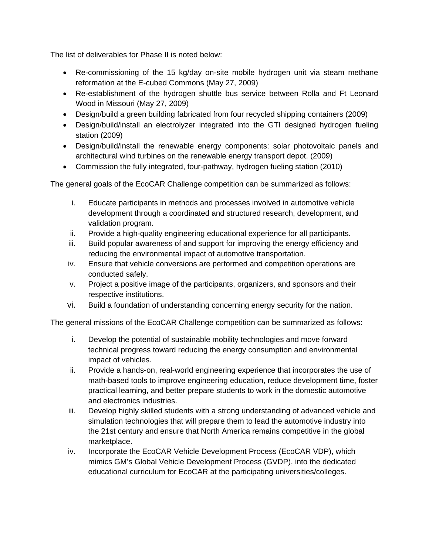The list of deliverables for Phase II is noted below:

- Re-commissioning of the 15 kg/day on-site mobile hydrogen unit via steam methane reformation at the E-cubed Commons (May 27, 2009)
- Re-establishment of the hydrogen shuttle bus service between Rolla and Ft Leonard Wood in Missouri (May 27, 2009)
- Design/build a green building fabricated from four recycled shipping containers (2009)
- Design/build/install an electrolyzer integrated into the GTI designed hydrogen fueling station (2009)
- Design/build/install the renewable energy components: solar photovoltaic panels and architectural wind turbines on the renewable energy transport depot. (2009)
- Commission the fully integrated, four-pathway, hydrogen fueling station (2010)

The general goals of the EcoCAR Challenge competition can be summarized as follows:

- i. Educate participants in methods and processes involved in automotive vehicle development through a coordinated and structured research, development, and validation program.
- ii. Provide a high-quality engineering educational experience for all participants.
- iii. Build popular awareness of and support for improving the energy efficiency and reducing the environmental impact of automotive transportation.
- iv. Ensure that vehicle conversions are performed and competition operations are conducted safely.
- v. Project a positive image of the participants, organizers, and sponsors and their respective institutions.
- vi. Build a foundation of understanding concerning energy security for the nation.

The general missions of the EcoCAR Challenge competition can be summarized as follows:

- i. Develop the potential of sustainable mobility technologies and move forward technical progress toward reducing the energy consumption and environmental impact of vehicles.
- ii. Provide a hands-on, real-world engineering experience that incorporates the use of math-based tools to improve engineering education, reduce development time, foster practical learning, and better prepare students to work in the domestic automotive and electronics industries.
- iii. Develop highly skilled students with a strong understanding of advanced vehicle and simulation technologies that will prepare them to lead the automotive industry into the 21st century and ensure that North America remains competitive in the global marketplace.
- iv. Incorporate the EcoCAR Vehicle Development Process (EcoCAR VDP), which mimics GM's Global Vehicle Development Process (GVDP), into the dedicated educational curriculum for EcoCAR at the participating universities/colleges.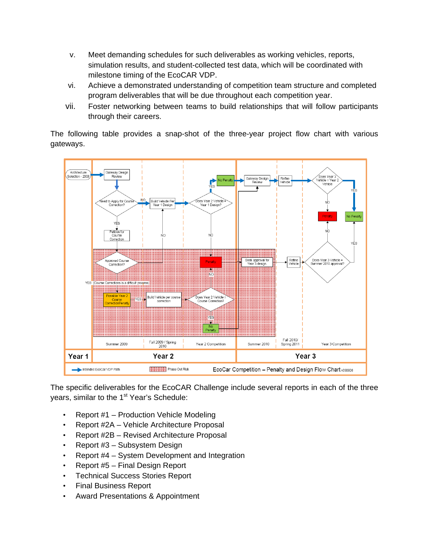- v. Meet demanding schedules for such deliverables as working vehicles, reports, simulation results, and student-collected test data, which will be coordinated with milestone timing of the EcoCAR VDP.
- vi. Achieve a demonstrated understanding of competition team structure and completed program deliverables that will be due throughout each competition year.
- vii. Foster networking between teams to build relationships that will follow participants through their careers.

The following table provides a snap-shot of the three-year project flow chart with various gateways.



The specific deliverables for the EcoCAR Challenge include several reports in each of the three years, similar to the 1<sup>st</sup> Year's Schedule:

- Report #1 Production Vehicle Modeling
- Report #2A Vehicle Architecture Proposal
- Report #2B Revised Architecture Proposal
- Report #3 Subsystem Design
- Report #4 System Development and Integration
- Report #5 Final Design Report
- Technical Success Stories Report
- Final Business Report
- Award Presentations & Appointment